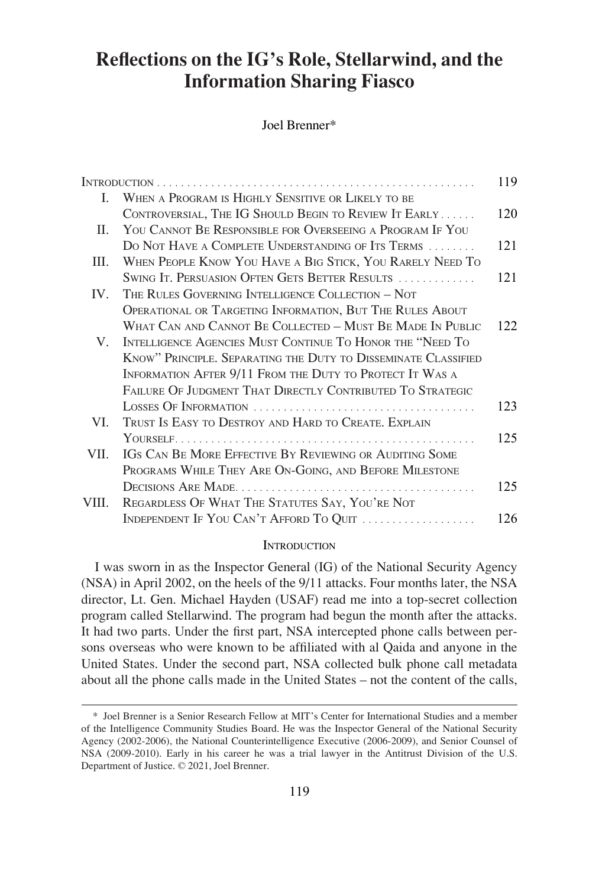# **Reflections on the IG's Role, Stellarwind, and the Information Sharing Fiasco**

Joel Brenner\*

|       |                                                                              | 119 |
|-------|------------------------------------------------------------------------------|-----|
| L     | WHEN A PROGRAM IS HIGHLY SENSITIVE OR LIKELY TO BE                           |     |
|       | CONTROVERSIAL, THE IG SHOULD BEGIN TO REVIEW IT EARLY                        | 120 |
| П.    | YOU CANNOT BE RESPONSIBLE FOR OVERSEEING A PROGRAM IF YOU                    |     |
|       | DO NOT HAVE A COMPLETE UNDERSTANDING OF ITS TERMS                            | 121 |
| Ш.    | WHEN PEOPLE KNOW YOU HAVE A BIG STICK, YOU RARELY NEED TO                    |     |
|       | SWING IT. PERSUASION OFTEN GETS BETTER RESULTS                               | 121 |
| IV.   | THE RULES GOVERNING INTELLIGENCE COLLECTION - NOT                            |     |
|       | OPERATIONAL OR TARGETING INFORMATION, BUT THE RULES ABOUT                    |     |
|       | WHAT CAN AND CANNOT BE COLLECTED - MUST BE MADE IN PUBLIC                    | 122 |
| V.    | INTELLIGENCE AGENCIES MUST CONTINUE TO HONOR THE "NEED TO                    |     |
|       | KNOW" PRINCIPLE. SEPARATING THE DUTY TO DISSEMINATE CLASSIFIED               |     |
|       | INFORMATION AFTER 9/11 FROM THE DUTY TO PROTECT IT WAS A                     |     |
|       | FAILURE OF JUDGMENT THAT DIRECTLY CONTRIBUTED TO STRATEGIC                   |     |
|       |                                                                              | 123 |
| VI.   | TRUST IS EASY TO DESTROY AND HARD TO CREATE, EXPLAIN                         |     |
|       |                                                                              | 125 |
| VII.  | IGS CAN BE MORE EFFECTIVE BY REVIEWING OR AUDITING SOME                      |     |
|       | PROGRAMS WHILE THEY ARE ON-GOING, AND BEFORE MILESTONE                       |     |
|       |                                                                              | 125 |
| VIII. | REGARDLESS OF WHAT THE STATUTES SAY, YOU'RE NOT                              |     |
|       | INDEPENDENT IF YOU CAN'T AFFORD TO QUIT $\ldots \ldots \ldots \ldots \ldots$ | 126 |
|       |                                                                              |     |

#### **INTRODUCTION**

I was sworn in as the Inspector General (IG) of the National Security Agency (NSA) in April 2002, on the heels of the 9/11 attacks. Four months later, the NSA director, Lt. Gen. Michael Hayden (USAF) read me into a top-secret collection program called Stellarwind. The program had begun the month after the attacks. It had two parts. Under the first part, NSA intercepted phone calls between persons overseas who were known to be affiliated with al Qaida and anyone in the United States. Under the second part, NSA collected bulk phone call metadata about all the phone calls made in the United States – not the content of the calls,

<sup>\*</sup> Joel Brenner is a Senior Research Fellow at MIT's Center for International Studies and a member of the Intelligence Community Studies Board. He was the Inspector General of the National Security Agency (2002-2006), the National Counterintelligence Executive (2006-2009), and Senior Counsel of NSA (2009-2010). Early in his career he was a trial lawyer in the Antitrust Division of the U.S. Department of Justice. © 2021, Joel Brenner.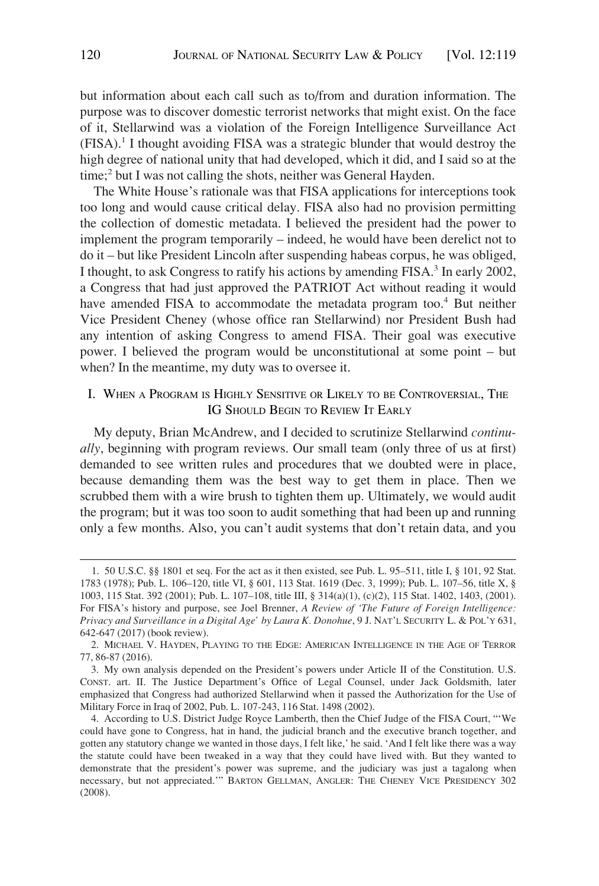<span id="page-1-0"></span>but information about each call such as to/from and duration information. The purpose was to discover domestic terrorist networks that might exist. On the face of it, Stellarwind was a violation of the Foreign Intelligence Surveillance Act  $(FISA).<sup>1</sup>$  I thought avoiding FISA was a strategic blunder that would destroy the high degree of national unity that had developed, which it did, and I said so at the time;<sup>2</sup> but I was not calling the shots, neither was General Hayden.

The White House's rationale was that FISA applications for interceptions took too long and would cause critical delay. FISA also had no provision permitting the collection of domestic metadata. I believed the president had the power to implement the program temporarily – indeed, he would have been derelict not to do it – but like President Lincoln after suspending habeas corpus, he was obliged, I thought, to ask Congress to ratify his actions by amending  $FISA$ <sup>3</sup>. In early 2002, a Congress that had just approved the PATRIOT Act without reading it would have amended FISA to accommodate the metadata program too.<sup>4</sup> But neither Vice President Cheney (whose office ran Stellarwind) nor President Bush had any intention of asking Congress to amend FISA. Their goal was executive power. I believed the program would be unconstitutional at some point – but when? In the meantime, my duty was to oversee it.

#### I. WHEN A PROGRAM IS HIGHLY SENSITIVE OR LIKELY TO BE CONTROVERSIAL, THE IG SHOULD BEGIN TO REVIEW IT EARLY

My deputy, Brian McAndrew, and I decided to scrutinize Stellarwind *continually*, beginning with program reviews. Our small team (only three of us at first) demanded to see written rules and procedures that we doubted were in place, because demanding them was the best way to get them in place. Then we scrubbed them with a wire brush to tighten them up. Ultimately, we would audit the program; but it was too soon to audit something that had been up and running only a few months. Also, you can't audit systems that don't retain data, and you

<sup>1. 50</sup> U.S.C. §§ 1801 et seq. For the act as it then existed, see Pub. L. 95–511, title I, § 101, 92 Stat. 1783 (1978); Pub. L. 106–120, title VI, § 601, 113 Stat. 1619 (Dec. 3, 1999); Pub. L. 107–56, title X, § 1003, 115 Stat. 392 (2001); Pub. L. 107–108, title III, § 314(a)(1), (c)(2), 115 Stat. 1402, 1403, (2001). For FISA's history and purpose, see Joel Brenner, *A Review of 'The Future of Foreign Intelligence: Privacy and Surveillance in a Digital Age' by Laura K. Donohue*, 9 J. NAT'L SECURITY L. & POL'Y 631, 642-647 (2017) (book review).

<sup>2.</sup> MICHAEL V. HAYDEN, PLAYING TO THE EDGE: AMERICAN INTELLIGENCE IN THE AGE OF TERROR 77, 86-87 (2016).

<sup>3.</sup> My own analysis depended on the President's powers under Article II of the Constitution. U.S. CONST. art. II. The Justice Department's Office of Legal Counsel, under Jack Goldsmith, later emphasized that Congress had authorized Stellarwind when it passed the Authorization for the Use of Military Force in Iraq of 2002, Pub. L. 107-243, 116 Stat. 1498 (2002).

<sup>4.</sup> According to U.S. District Judge Royce Lamberth, then the Chief Judge of the FISA Court, "'We could have gone to Congress, hat in hand, the judicial branch and the executive branch together, and gotten any statutory change we wanted in those days, I felt like,' he said. 'And I felt like there was a way the statute could have been tweaked in a way that they could have lived with. But they wanted to demonstrate that the president's power was supreme, and the judiciary was just a tagalong when necessary, but not appreciated.'" BARTON GELLMAN, ANGLER: THE CHENEY VICE PRESIDENCY 302 (2008).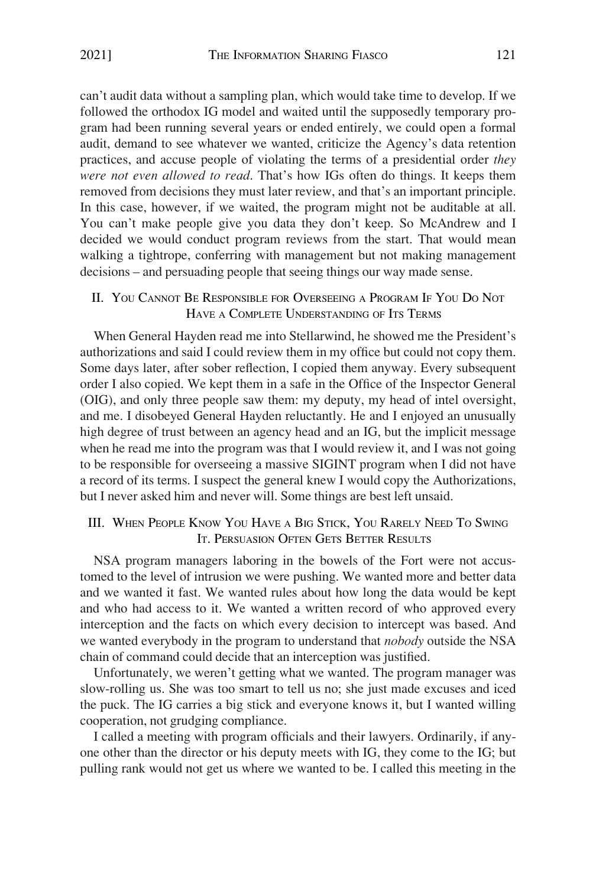<span id="page-2-0"></span>can't audit data without a sampling plan, which would take time to develop. If we followed the orthodox IG model and waited until the supposedly temporary program had been running several years or ended entirely, we could open a formal audit, demand to see whatever we wanted, criticize the Agency's data retention practices, and accuse people of violating the terms of a presidential order *they were not even allowed to read*. That's how IGs often do things. It keeps them removed from decisions they must later review, and that's an important principle. In this case, however, if we waited, the program might not be auditable at all. You can't make people give you data they don't keep. So McAndrew and I decided we would conduct program reviews from the start. That would mean walking a tightrope, conferring with management but not making management decisions – and persuading people that seeing things our way made sense.

#### II. YOU CANNOT BE RESPONSIBLE FOR OVERSEEING A PROGRAM IF YOU DO NOT HAVE A COMPLETE UNDERSTANDING OF ITS TERMS

When General Hayden read me into Stellarwind, he showed me the President's authorizations and said I could review them in my office but could not copy them. Some days later, after sober reflection, I copied them anyway. Every subsequent order I also copied. We kept them in a safe in the Office of the Inspector General (OIG), and only three people saw them: my deputy, my head of intel oversight, and me. I disobeyed General Hayden reluctantly. He and I enjoyed an unusually high degree of trust between an agency head and an IG, but the implicit message when he read me into the program was that I would review it, and I was not going to be responsible for overseeing a massive SIGINT program when I did not have a record of its terms. I suspect the general knew I would copy the Authorizations, but I never asked him and never will. Some things are best left unsaid.

### III. WHEN PEOPLE KNOW YOU HAVE A BIG STICK, YOU RARELY NEED TO SWING IT. PERSUASION OFTEN GETS BETTER RESULTS

NSA program managers laboring in the bowels of the Fort were not accustomed to the level of intrusion we were pushing. We wanted more and better data and we wanted it fast. We wanted rules about how long the data would be kept and who had access to it. We wanted a written record of who approved every interception and the facts on which every decision to intercept was based. And we wanted everybody in the program to understand that *nobody* outside the NSA chain of command could decide that an interception was justified.

Unfortunately, we weren't getting what we wanted. The program manager was slow-rolling us. She was too smart to tell us no; she just made excuses and iced the puck. The IG carries a big stick and everyone knows it, but I wanted willing cooperation, not grudging compliance.

I called a meeting with program officials and their lawyers. Ordinarily, if anyone other than the director or his deputy meets with IG, they come to the IG; but pulling rank would not get us where we wanted to be. I called this meeting in the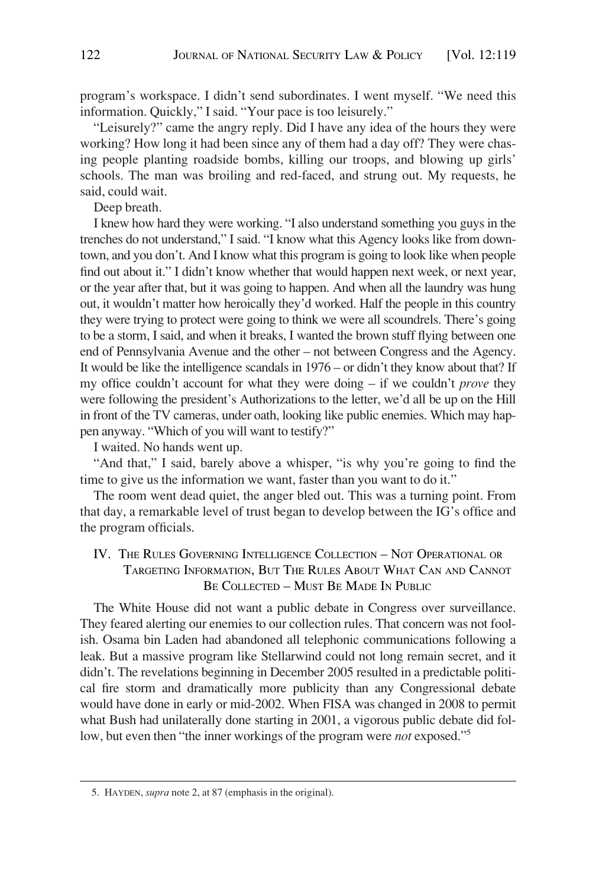<span id="page-3-0"></span>program's workspace. I didn't send subordinates. I went myself. "We need this information. Quickly," I said. "Your pace is too leisurely."

"Leisurely?" came the angry reply. Did I have any idea of the hours they were working? How long it had been since any of them had a day off? They were chasing people planting roadside bombs, killing our troops, and blowing up girls' schools. The man was broiling and red-faced, and strung out. My requests, he said, could wait.

Deep breath.

I knew how hard they were working. "I also understand something you guys in the trenches do not understand," I said. "I know what this Agency looks like from downtown, and you don't. And I know what this program is going to look like when people find out about it." I didn't know whether that would happen next week, or next year, or the year after that, but it was going to happen. And when all the laundry was hung out, it wouldn't matter how heroically they'd worked. Half the people in this country they were trying to protect were going to think we were all scoundrels. There's going to be a storm, I said, and when it breaks, I wanted the brown stuff flying between one end of Pennsylvania Avenue and the other – not between Congress and the Agency. It would be like the intelligence scandals in 1976 – or didn't they know about that? If my office couldn't account for what they were doing – if we couldn't *prove* they were following the president's Authorizations to the letter, we'd all be up on the Hill in front of the TV cameras, under oath, looking like public enemies. Which may happen anyway. "Which of you will want to testify?"

I waited. No hands went up.

"And that," I said, barely above a whisper, "is why you're going to find the time to give us the information we want, faster than you want to do it."

The room went dead quiet, the anger bled out. This was a turning point. From that day, a remarkable level of trust began to develop between the IG's office and the program officials.

IV. THE RULES GOVERNING INTELLIGENCE COLLECTION – NOT OPERATIONAL OR TARGETING INFORMATION, BUT THE RULES ABOUT WHAT CAN AND CANNOT BE COLLECTED – MUST BE MADE IN PUBLIC

The White House did not want a public debate in Congress over surveillance. They feared alerting our enemies to our collection rules. That concern was not foolish. Osama bin Laden had abandoned all telephonic communications following a leak. But a massive program like Stellarwind could not long remain secret, and it didn't. The revelations beginning in December 2005 resulted in a predictable political fire storm and dramatically more publicity than any Congressional debate would have done in early or mid-2002. When FISA was changed in 2008 to permit what Bush had unilaterally done starting in 2001, a vigorous public debate did follow, but even then "the inner workings of the program were *not* exposed."5

<sup>5.</sup> HAYDEN, *supra* note 2, at 87 (emphasis in the original).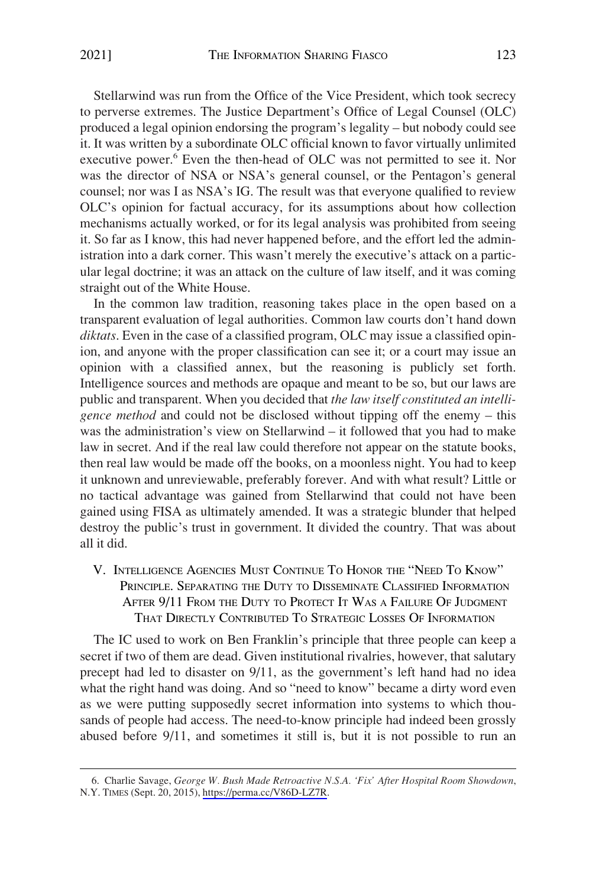<span id="page-4-0"></span>Stellarwind was run from the Office of the Vice President, which took secrecy to perverse extremes. The Justice Department's Office of Legal Counsel (OLC) produced a legal opinion endorsing the program's legality – but nobody could see it. It was written by a subordinate OLC official known to favor virtually unlimited executive power.<sup>6</sup> Even the then-head of OLC was not permitted to see it. Nor was the director of NSA or NSA's general counsel, or the Pentagon's general counsel; nor was I as NSA's IG. The result was that everyone qualified to review OLC's opinion for factual accuracy, for its assumptions about how collection mechanisms actually worked, or for its legal analysis was prohibited from seeing it. So far as I know, this had never happened before, and the effort led the administration into a dark corner. This wasn't merely the executive's attack on a particular legal doctrine; it was an attack on the culture of law itself, and it was coming straight out of the White House.

In the common law tradition, reasoning takes place in the open based on a transparent evaluation of legal authorities. Common law courts don't hand down *diktats*. Even in the case of a classified program, OLC may issue a classified opinion, and anyone with the proper classification can see it; or a court may issue an opinion with a classified annex, but the reasoning is publicly set forth. Intelligence sources and methods are opaque and meant to be so, but our laws are public and transparent. When you decided that *the law itself constituted an intelligence method* and could not be disclosed without tipping off the enemy – this was the administration's view on Stellarwind – it followed that you had to make law in secret. And if the real law could therefore not appear on the statute books, then real law would be made off the books, on a moonless night. You had to keep it unknown and unreviewable, preferably forever. And with what result? Little or no tactical advantage was gained from Stellarwind that could not have been gained using FISA as ultimately amended. It was a strategic blunder that helped destroy the public's trust in government. It divided the country. That was about all it did.

## V. INTELLIGENCE AGENCIES MUST CONTINUE TO HONOR THE "NEED TO KNOW" PRINCIPLE. SEPARATING THE DUTY TO DISSEMINATE CLASSIFIED INFORMATION AFTER 9/11 FROM THE DUTY TO PROTECT IT WAS A FAILURE OF JUDGMENT THAT DIRECTLY CONTRIBUTED TO STRATEGIC LOSSES OF INFORMATION

The IC used to work on Ben Franklin's principle that three people can keep a secret if two of them are dead. Given institutional rivalries, however, that salutary precept had led to disaster on 9/11, as the government's left hand had no idea what the right hand was doing. And so "need to know" became a dirty word even as we were putting supposedly secret information into systems to which thousands of people had access. The need-to-know principle had indeed been grossly abused before 9/11, and sometimes it still is, but it is not possible to run an

<sup>6.</sup> Charlie Savage, George W. Bush Made Retroactive N.S.A. 'Fix' After Hospital Room Showdown, N.Y. TIMES (Sept. 20, 2015), [https://perma.cc/V86D-LZ7R.](https://perma.cc/V86D-LZ7R)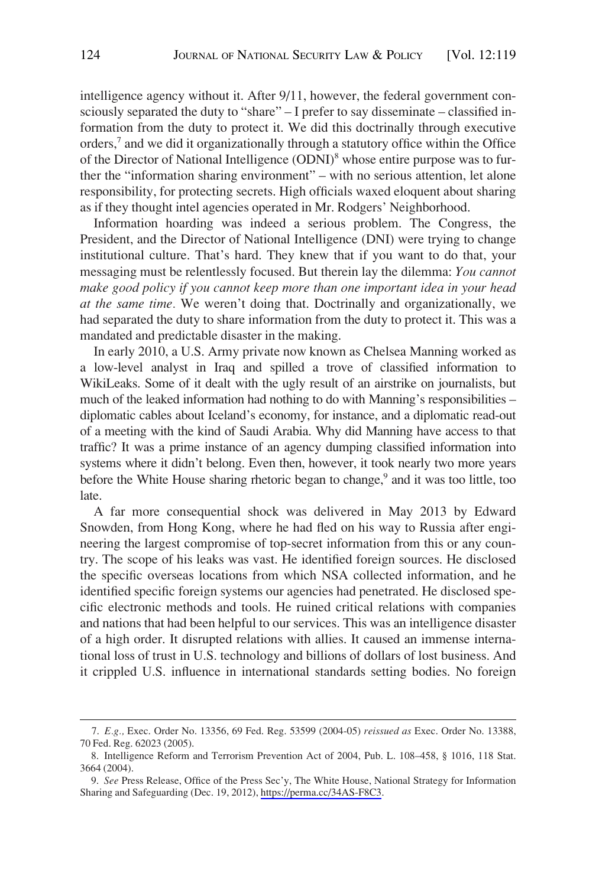intelligence agency without it. After 9/11, however, the federal government consciously separated the duty to "share" – I prefer to say disseminate – classified information from the duty to protect it. We did this doctrinally through executive orders,7 and we did it organizationally through a statutory office within the Office of the Director of National Intelligence (ODNI)<sup>8</sup> whose entire purpose was to further the "information sharing environment" – with no serious attention, let alone responsibility, for protecting secrets. High officials waxed eloquent about sharing as if they thought intel agencies operated in Mr. Rodgers' Neighborhood.

Information hoarding was indeed a serious problem. The Congress, the President, and the Director of National Intelligence (DNI) were trying to change institutional culture. That's hard. They knew that if you want to do that, your messaging must be relentlessly focused. But therein lay the dilemma: *You cannot make good policy if you cannot keep more than one important idea in your head at the same time.* We weren't doing that. Doctrinally and organizationally, we had separated the duty to share information from the duty to protect it. This was a mandated and predictable disaster in the making.

In early 2010, a U.S. Army private now known as Chelsea Manning worked as a low-level analyst in Iraq and spilled a trove of classified information to WikiLeaks. Some of it dealt with the ugly result of an airstrike on journalists, but much of the leaked information had nothing to do with Manning's responsibilities – diplomatic cables about Iceland's economy, for instance, and a diplomatic read-out of a meeting with the kind of Saudi Arabia. Why did Manning have access to that traffic? It was a prime instance of an agency dumping classified information into systems where it didn't belong. Even then, however, it took nearly two more years before the White House sharing rhetoric began to change,<sup>9</sup> and it was too little, too late.

A far more consequential shock was delivered in May 2013 by Edward Snowden, from Hong Kong, where he had fled on his way to Russia after engineering the largest compromise of top-secret information from this or any country. The scope of his leaks was vast. He identified foreign sources. He disclosed the specific overseas locations from which NSA collected information, and he identified specific foreign systems our agencies had penetrated. He disclosed specific electronic methods and tools. He ruined critical relations with companies and nations that had been helpful to our services. This was an intelligence disaster of a high order. It disrupted relations with allies. It caused an immense international loss of trust in U.S. technology and billions of dollars of lost business. And it crippled U.S. influence in international standards setting bodies. No foreign

<sup>7.</sup> *E.g.,* Exec. Order No. 13356, 69 Fed. Reg. 53599 (2004-05) *reissued as* Exec. Order No. 13388, 70 Fed. Reg. 62023 (2005).

<sup>8.</sup> Intelligence Reform and Terrorism Prevention Act of 2004, Pub. L. 108–458, § 1016, 118 Stat. 3664 (2004).

*See* Press Release, Office of the Press Sec'y, The White House, National Strategy for Information 9. Sharing and Safeguarding (Dec. 19, 2012), [https://perma.cc/34AS-F8C3.](https://perma.cc/34AS-F8C3)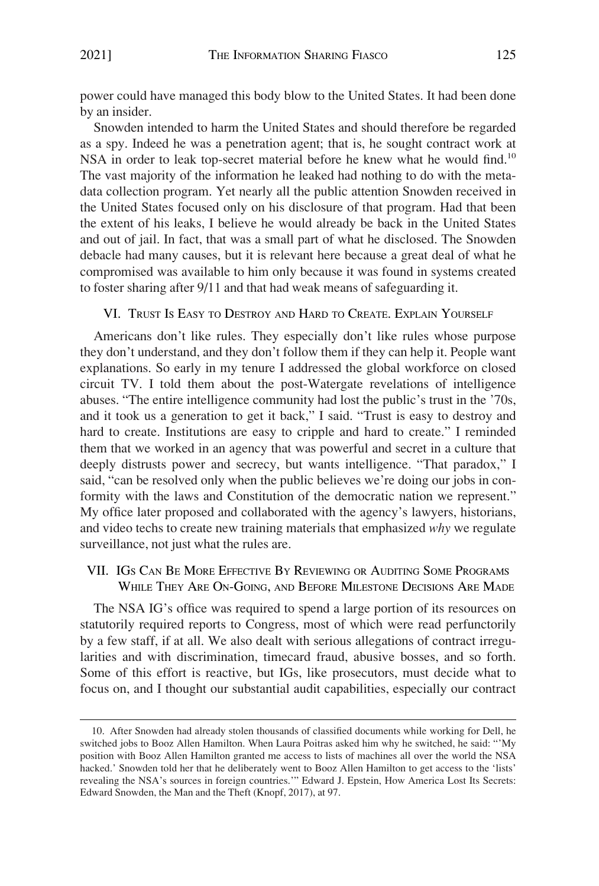<span id="page-6-0"></span>power could have managed this body blow to the United States. It had been done by an insider.

Snowden intended to harm the United States and should therefore be regarded as a spy. Indeed he was a penetration agent; that is, he sought contract work at NSA in order to leak top-secret material before he knew what he would find.<sup>10</sup> The vast majority of the information he leaked had nothing to do with the metadata collection program. Yet nearly all the public attention Snowden received in the United States focused only on his disclosure of that program. Had that been the extent of his leaks, I believe he would already be back in the United States and out of jail. In fact, that was a small part of what he disclosed. The Snowden debacle had many causes, but it is relevant here because a great deal of what he compromised was available to him only because it was found in systems created to foster sharing after 9/11 and that had weak means of safeguarding it.

#### VI. TRUST IS EASY TO DESTROY AND HARD TO CREATE. EXPLAIN YOURSELF

Americans don't like rules. They especially don't like rules whose purpose they don't understand, and they don't follow them if they can help it. People want explanations. So early in my tenure I addressed the global workforce on closed circuit TV. I told them about the post-Watergate revelations of intelligence abuses. "The entire intelligence community had lost the public's trust in the '70s, and it took us a generation to get it back," I said. "Trust is easy to destroy and hard to create. Institutions are easy to cripple and hard to create." I reminded them that we worked in an agency that was powerful and secret in a culture that deeply distrusts power and secrecy, but wants intelligence. "That paradox," I said, "can be resolved only when the public believes we're doing our jobs in conformity with the laws and Constitution of the democratic nation we represent." My office later proposed and collaborated with the agency's lawyers, historians, and video techs to create new training materials that emphasized *why* we regulate surveillance, not just what the rules are.

### VII. IGS CAN BE MORE EFFECTIVE BY REVIEWING OR AUDITING SOME PROGRAMS WHILE THEY ARE ON-GOING, AND BEFORE MILESTONE DECISIONS ARE MADE

The NSA IG's office was required to spend a large portion of its resources on statutorily required reports to Congress, most of which were read perfunctorily by a few staff, if at all. We also dealt with serious allegations of contract irregularities and with discrimination, timecard fraud, abusive bosses, and so forth. Some of this effort is reactive, but IGs, like prosecutors, must decide what to focus on, and I thought our substantial audit capabilities, especially our contract

<sup>10.</sup> After Snowden had already stolen thousands of classified documents while working for Dell, he switched jobs to Booz Allen Hamilton. When Laura Poitras asked him why he switched, he said: "'My position with Booz Allen Hamilton granted me access to lists of machines all over the world the NSA hacked.' Snowden told her that he deliberately went to Booz Allen Hamilton to get access to the 'lists' revealing the NSA's sources in foreign countries.'" Edward J. Epstein, How America Lost Its Secrets: Edward Snowden, the Man and the Theft (Knopf, 2017), at 97.